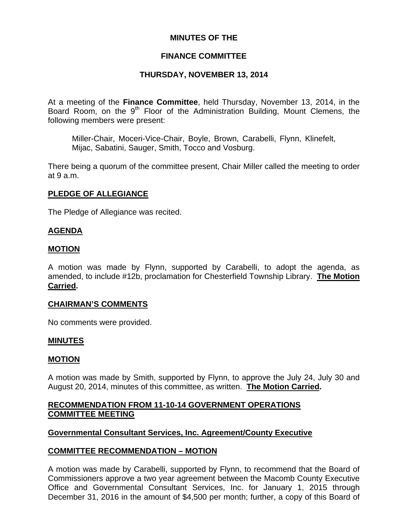## **MINUTES OF THE**

## **FINANCE COMMITTEE**

## **THURSDAY, NOVEMBER 13, 2014**

At a meeting of the **Finance Committee**, held Thursday, November 13, 2014, in the Board Room, on the 9<sup>th</sup> Floor of the Administration Building, Mount Clemens, the following members were present:

Miller-Chair, Moceri-Vice-Chair, Boyle, Brown, Carabelli, Flynn, Klinefelt, Mijac, Sabatini, Sauger, Smith, Tocco and Vosburg.

There being a quorum of the committee present, Chair Miller called the meeting to order at 9 a.m.

## **PLEDGE OF ALLEGIANCE**

The Pledge of Allegiance was recited.

### **AGENDA**

### **MOTION**

A motion was made by Flynn, supported by Carabelli, to adopt the agenda, as amended, to include #12b, proclamation for Chesterfield Township Library. **The Motion Carried.** 

### **CHAIRMAN'S COMMENTS**

No comments were provided.

### **MINUTES**

### **MOTION**

A motion was made by Smith, supported by Flynn, to approve the July 24, July 30 and August 20, 2014, minutes of this committee, as written. **The Motion Carried.** 

# **RECOMMENDATION FROM 11-10-14 GOVERNMENT OPERATIONS COMMITTEE MEETING**

### **Governmental Consultant Services, Inc. Agreement/County Executive**

### **COMMITTEE RECOMMENDATION – MOTION**

A motion was made by Carabelli, supported by Flynn, to recommend that the Board of Commissioners approve a two year agreement between the Macomb County Executive Office and Governmental Consultant Services, Inc. for January 1, 2015 through December 31, 2016 in the amount of \$4,500 per month; further, a copy of this Board of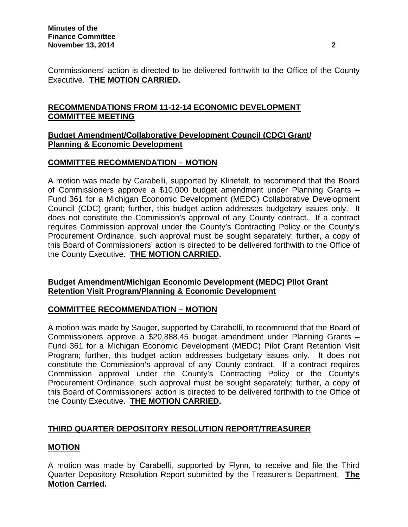Commissioners' action is directed to be delivered forthwith to the Office of the County Executive. **THE MOTION CARRIED.** 

# **RECOMMENDATIONS FROM 11-12-14 ECONOMIC DEVELOPMENT COMMITTEE MEETING**

## **Budget Amendment/Collaborative Development Council (CDC) Grant/ Planning & Economic Development**

# **COMMITTEE RECOMMENDATION – MOTION**

A motion was made by Carabelli, supported by Klinefelt, to recommend that the Board of Commissioners approve a \$10,000 budget amendment under Planning Grants – Fund 361 for a Michigan Economic Development (MEDC) Collaborative Development Council (CDC) grant; further, this budget action addresses budgetary issues only. It does not constitute the Commission's approval of any County contract. If a contract requires Commission approval under the County's Contracting Policy or the County's Procurement Ordinance, such approval must be sought separately; further, a copy of this Board of Commissioners' action is directed to be delivered forthwith to the Office of the County Executive. **THE MOTION CARRIED.** 

# **Budget Amendment/Michigan Economic Development (MEDC) Pilot Grant Retention Visit Program/Planning & Economic Development**

# **COMMITTEE RECOMMENDATION – MOTION**

A motion was made by Sauger, supported by Carabelli, to recommend that the Board of Commissioners approve a \$20,888.45 budget amendment under Planning Grants – Fund 361 for a Michigan Economic Development (MEDC) Pilot Grant Retention Visit Program; further, this budget action addresses budgetary issues only. It does not constitute the Commission's approval of any County contract. If a contract requires Commission approval under the County's Contracting Policy or the County's Procurement Ordinance, such approval must be sought separately; further, a copy of this Board of Commissioners' action is directed to be delivered forthwith to the Office of the County Executive. **THE MOTION CARRIED.** 

# **THIRD QUARTER DEPOSITORY RESOLUTION REPORT/TREASURER**

# **MOTION**

A motion was made by Carabelli, supported by Flynn, to receive and file the Third Quarter Depository Resolution Report submitted by the Treasurer's Department. **The Motion Carried.**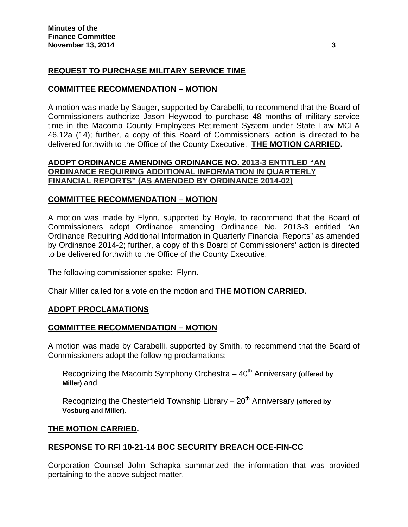# **REQUEST TO PURCHASE MILITARY SERVICE TIME**

## **COMMITTEE RECOMMENDATION – MOTION**

A motion was made by Sauger, supported by Carabelli, to recommend that the Board of Commissioners authorize Jason Heywood to purchase 48 months of military service time in the Macomb County Employees Retirement System under State Law MCLA 46.12a (14); further, a copy of this Board of Commissioners' action is directed to be delivered forthwith to the Office of the County Executive. **THE MOTION CARRIED.** 

## **ADOPT ORDINANCE AMENDING ORDINANCE NO. 2013-3 ENTITLED "AN ORDINANCE REQUIRING ADDITIONAL INFORMATION IN QUARTERLY FINANCIAL REPORTS" (AS AMENDED BY ORDINANCE 2014-02)**

## **COMMITTEE RECOMMENDATION – MOTION**

A motion was made by Flynn, supported by Boyle, to recommend that the Board of Commissioners adopt Ordinance amending Ordinance No. 2013-3 entitled "An Ordinance Requiring Additional Information in Quarterly Financial Reports" as amended by Ordinance 2014-2; further, a copy of this Board of Commissioners' action is directed to be delivered forthwith to the Office of the County Executive.

The following commissioner spoke: Flynn.

Chair Miller called for a vote on the motion and **THE MOTION CARRIED.** 

# **ADOPT PROCLAMATIONS**

### **COMMITTEE RECOMMENDATION – MOTION**

A motion was made by Carabelli, supported by Smith, to recommend that the Board of Commissioners adopt the following proclamations:

Recognizing the Macomb Symphony Orchestra – 40<sup>th</sup> Anniversary (offered by **Miller)** and

Recognizing the Chesterfield Township Library – 20<sup>th</sup> Anniversary (offered by **Vosburg and Miller)**.

### **THE MOTION CARRIED.**

# **RESPONSE TO RFI 10-21-14 BOC SECURITY BREACH OCE-FIN-CC**

Corporation Counsel John Schapka summarized the information that was provided pertaining to the above subject matter.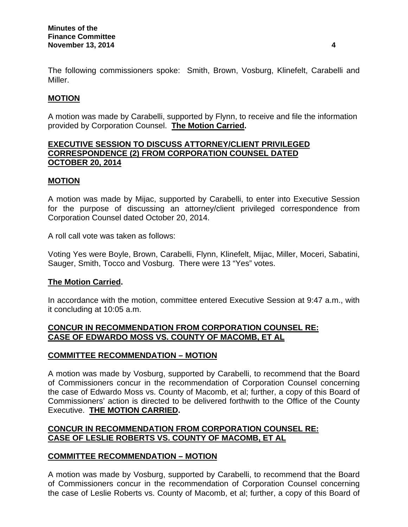The following commissioners spoke: Smith, Brown, Vosburg, Klinefelt, Carabelli and Miller.

# **MOTION**

A motion was made by Carabelli, supported by Flynn, to receive and file the information provided by Corporation Counsel. **The Motion Carried.**

## **EXECUTIVE SESSION TO DISCUSS ATTORNEY/CLIENT PRIVILEGED CORRESPONDENCE (2) FROM CORPORATION COUNSEL DATED OCTOBER 20, 2014**

# **MOTION**

A motion was made by Mijac, supported by Carabelli, to enter into Executive Session for the purpose of discussing an attorney/client privileged correspondence from Corporation Counsel dated October 20, 2014.

A roll call vote was taken as follows:

Voting Yes were Boyle, Brown, Carabelli, Flynn, Klinefelt, Mijac, Miller, Moceri, Sabatini, Sauger, Smith, Tocco and Vosburg. There were 13 "Yes" votes.

# **The Motion Carried.**

In accordance with the motion, committee entered Executive Session at 9:47 a.m., with it concluding at 10:05 a.m.

# **CONCUR IN RECOMMENDATION FROM CORPORATION COUNSEL RE: CASE OF EDWARDO MOSS VS. COUNTY OF MACOMB, ET AL**

# **COMMITTEE RECOMMENDATION – MOTION**

A motion was made by Vosburg, supported by Carabelli, to recommend that the Board of Commissioners concur in the recommendation of Corporation Counsel concerning the case of Edwardo Moss vs. County of Macomb, et al; further, a copy of this Board of Commissioners' action is directed to be delivered forthwith to the Office of the County Executive. **THE MOTION CARRIED.** 

# **CONCUR IN RECOMMENDATION FROM CORPORATION COUNSEL RE: CASE OF LESLIE ROBERTS VS. COUNTY OF MACOMB, ET AL**

# **COMMITTEE RECOMMENDATION – MOTION**

A motion was made by Vosburg, supported by Carabelli, to recommend that the Board of Commissioners concur in the recommendation of Corporation Counsel concerning the case of Leslie Roberts vs. County of Macomb, et al; further, a copy of this Board of